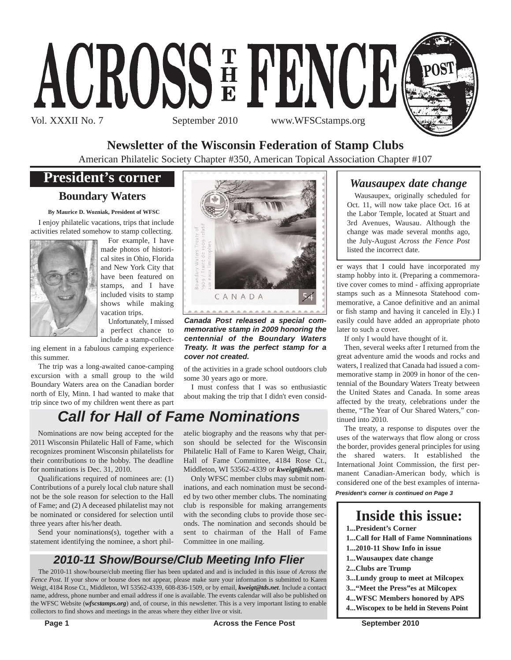

**Newsletter of the Wisconsin Federation of Stamp Clubs**

American Philatelic Society Chapter #350, American Topical Association Chapter #107

# **President's corner**

# **Boundary Waters**

**By Maurice D. Wozniak, President of WFSC**

I enjoy philatelic vacations, trips that include activities related somehow to stamp collecting.



For example, I have made photos of historical sites in Ohio, Florida and New York City that have been featured on stamps, and I have included visits to stamp shows while making vacation trips.

Unfortunately, I missed a perfect chance to include a stamp-collect-

ing element in a fabulous camping experience this summer.

The trip was a long-awaited canoe-camping excursion with a small group to the wild Boundary Waters area on the Canadian border north of Ely, Minn. I had wanted to make that trip since two of my children went there as part



*Canada Post released a special commemorative stamp in 2009 honoring the centennial of the Boundary Waters Treaty. It was the perfect stamp for a cover not created.*

of the activities in a grade school outdoors club some 30 years ago or more.

I must confess that I was so enthusiastic about making the trip that I didn't even consid-

# *Call for Hall of Fame Nominations*

Nominations are now being accepted for the 2011 Wisconsin Philatelic Hall of Fame, which recognizes prominent Wisconsin philatelists for their contributions to the hobby. The deadline for nominations is Dec. 31, 2010.

Qualifications required of nominees are: (1) Contributions of a purely local club nature shall not be the sole reason for selection to the Hall of Fame; and (2) A deceased philatelist may not be nominated or considered for selection until three years after his/her death.

Send your nominations(s), together with a statement identifying the nominee, a short philatelic biography and the reasons why that person should be selected for the Wisconsin Philatelic Hall of Fame to Karen Weigt, Chair, Hall of Fame Committee, 4184 Rose Ct., Middleton, WI 53562-4339 or *kweigt@tds.net*.

Only WFSC member clubs may submit nominations, and each nomination must be seconded by two other member clubs. The nominating club is responsible for making arrangements with the seconding clubs to provide those seconds. The nomination and seconds should be sent to chairman of the Hall of Fame Committee in one mailing.

# *2010-11 Show/Bourse/Club Meeting Info Flier*

The 2010-11 show/bourse/club meeting flier has been updated and and is included in this issue of *Across the Fence Post*. If your show or bourse does not appear, please make sure your information is submitted to Karen Weigt, 4184 Rose Ct., Middleton, WI 53562-4339, 608-836-1509, or by email, *kweigt@tds.net*. Include a contact name, address, phone number and email address if one is available. The events calendar will also be published on the WFSC Website (*wfscstamps.org*) and, of course, in this newsletter. This is a very important listing to enable collectors to find shows and meetings in the areas where they either live or visit.

# *Wausaupex date change*

Wausaupex, originally scheduled for Oct. 11, will now take place Oct. 16 at the Labor Temple, located at Stuart and 3rd Avenues, Wausau. Although the change was made several months ago, the July-August *Across the Fence Post* listed the incorrect date.

er ways that I could have incorporated my stamp hobby into it. (Preparing a commemorative cover comes to mind - affixing appropriate stamps such as a Minnesota Statehood commemorative, a Canoe definitive and an animal or fish stamp and having it canceled in Ely.) I easily could have added an appropriate photo later to such a cover.

If only I would have thought of it.

Then, several weeks after I returned from the great adventure amid the woods and rocks and waters, I realized that Canada had issued a commemorative stamp in 2009 in honor of the centennial of the Boundary Waters Treaty between the United States and Canada. In some areas affected by the treaty, celebrations under the theme, "The Year of Our Shared Waters," continued into 2010.

The treaty, a response to disputes over the uses of the waterways that flow along or cross the border, provides general principles for using shared waters. It established the International Joint Commission, the first permanent Canadian-American body, which is considered one of the best examples of interna-

*President's corner is continued on Page 3*

# **Inside this issue:**

**1...President's Corner**

- **1...Call for Hall of Fame Nomninations**
- **1...2010-11 Show Info in issue**
- **1...Wausaupex date change**
- **2...Clubs are Trump**
- **3...Lundy group to meet at Milcopex**
- **3..."Meet the Press"es at Milcopex**
- **4...WFSC Members honored by APS**
- **4...Wiscopex to be held in Stevens Point**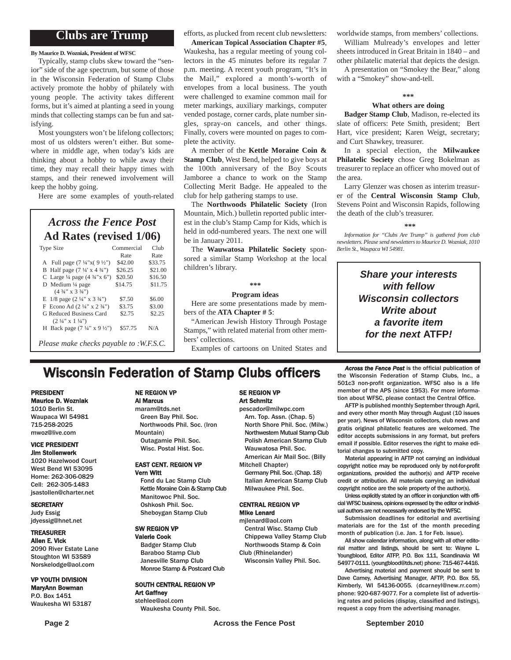## **Clubs are Trump**

**By Maurice D. Wozniak, President of WFSC**

Typically, stamp clubs skew toward the "senior" side of the age spectrum, but some of those in the Wisconsin Federation of Stamp Clubs actively promote the hobby of philately with young people. The activity takes different forms, but it's aimed at planting a seed in young minds that collecting stamps can be fun and satisfying.

Most youngsters won't be lifelong collectors; most of us oldsters weren't either. But somewhere in middle age, when today's kids are thinking about a hobby to while away their time, they may recall their happy times with stamps, and their renewed involvement will keep the hobby going.

Here are some examples of youth-related

## *Across the Fence Post* **Ad Rates (revised 1/06)**

| <b>Type Size</b>                                    | Commercial<br>Rate | Club<br>Rate |
|-----------------------------------------------------|--------------------|--------------|
| A Full page $(7\frac{1}{4}x(9\frac{1}{2}y))$        | \$42.00            | \$33.75      |
| B Half page $(7\frac{1}{4} \times 4\frac{3}{4})$    | \$26.25            | \$21.00      |
| C Large $\frac{1}{4}$ page $(4 \frac{3}{4} x)$ (5") | \$20.50            | \$16.50      |
| D Medium $\frac{1}{4}$ page                         | \$14.75            | \$11.75      |
| $(4\frac{3}{4}$ " x 3 $\frac{3}{4}$ ")              |                    |              |
| E $1/8$ page $(2\frac{1}{4}$ " x $3\frac{3}{4}$ ")  | \$7.50             | \$6.00       |
| F Econo Ad $(2\frac{1}{4}$ " x $2\frac{3}{4}$ ")    | \$3.75             | \$3.00       |
| G Reduced Business Card                             | \$2.75             | \$2.25       |
| $(2\frac{1}{4}$ " x $1\frac{1}{4}$ ")               |                    |              |
| H Back page $(7\frac{1}{4}$ " x 9 $\frac{1}{2}$ ")  | \$57.75            | N/A          |
|                                                     |                    |              |

*Please make checks payable to :W.F.S.C.*

### efforts, as plucked from recent club newsletters:

**American Topical Association Chapter #5**, Waukesha, has a regular meeting of young collectors in the 45 minutes before its regular 7 p.m. meeting. A recent youth program, "It's in the Mail," explored a month's-worth of envelopes from a local business. The youth were challenged to examine common mail for meter markings, auxiliary markings, computer vended postage, corner cards, plate number singles, spray-on cancels, and other things. Finally, covers were mounted on pages to complete the activity.

A member of the **Kettle Moraine Coin & Stamp Club**, West Bend, helped to give boys at the 100th anniversary of the Boy Scouts Jamboree a chance to work on the Stamp Collecting Merit Badge. He appealed to the club for help gathering stamps to use.

The **Northwoods Philatelic Society** (Iron Mountain, Mich.) bulletin reported public interest in the club's Stamp Camp for Kids, which is held in odd-numbered years. The next one will be in January 2011.

The **Wauwatosa Philatelic Society** sponsored a similar Stamp Workshop at the local children's library.

**\*\*\***

#### **Program ideas**

Here are some presentations made by members of the **ATA Chapter # 5**:

"American Jewish History Through Postage Stamps," with related material from other members' collections.

Examples of cartoons on United States and

worldwide stamps, from members' collections.

William Mulready's envelopes and letter sheets introduced in Great Britain in 1840 – and other philatelic material that depicts the design.

A presentation on "Smokey the Bear," along with a "Smokey" show-and-tell.

### **\*\*\***

## **What others are doing**

**Badger Stamp Club**, Madison, re-elected its slate of officers: Pete Smith, president; Bert Hart, vice president; Karen Weigt, secretary; and Curt Shawkey, treasurer.

In a special election, the **Milwaukee Philatelic Society** chose Greg Bokelman as treasurer to replace an officer who moved out of the area.

Larry Glenzer was chosen as interim treasurer of the **Central Wisconsin Stamp Club**, Stevens Point and Wisconsin Rapids, following the death of the club's treasurer.

#### **\*\*\***

*Information for "Clubs Are Trump" is gathered from club newsletters. Please send newsletters to Maurice D. Wozniak, 1010 Berlin St., Waupaca WI 54981.*

> *Share your interests with fellow Wisconsin collectors Write about a favorite item for the next* **ATFP***!*

# **Wisconsin Federation of Stamp Clubs officers** *Across the Fence Post* is the official publication of stamp Clubs, Inc., a

#### PRESIDENT Maurice D. Wozniak

1010 Berlin St. Waupaca WI 54981 715-258-2025 mwoz@live.com

#### VICE PRESIDENT Jim Stollenwerk

1020 Hazelwood Court West Bend WI 53095 Home: 262-306-0829 Cell: 262-305-1483 jsastollen@charter.net

#### **SECRETARY**

Judy Essig jdyessig@hnet.net

## TREASURER

Allen E. Vick 2090 River Estate Lane Stoughton WI 53589 Norskelodge@aol.com

#### VP YOUTH DIVISION MaryAnn Bowman

P.O. Box 1451 Waukesha WI 53187

## NE REGION VP

Al Marcus

maram@tds.net Green Bay Phil. Soc. Northwoods Phil. Soc. (Iron Mountain) Outagamie Phil. Soc. Wisc. Postal Hist. Soc.

#### EAST CENT. REGION VP Vern Witt

Fond du Lac Stamp Club Kettle Moraine Coin & Stamp Club Manitowoc Phil. Soc. Oshkosh Phil. Soc. Sheboygan Stamp Club

#### SW REGION VP Valerie Cook

Badger Stamp Club Baraboo Stamp Club Janesville Stamp Club Monroe Stamp & Postcard Club

#### SOUTH CENTRAL REGION VP Art Gaffney

stehlee@aol.com Waukesha County Phil. Soc.

#### SE REGION VP Art Schmitz

pescador@milwpc.com Am. Top. Assn. (Chap. 5) North Shore Phil. Soc. (Milw.) Northwestern Mutual Stamp Club Polish American Stamp Club Wauwatosa Phil. Soc. American Air Mail Soc. (Billy

Mitchell Chapter) Germany Phil. Soc. (Chap. 18)

Italian American Stamp Club Milwaukee Phil. Soc.

#### CENTRAL REGION VP Mike Lenard

mjlenard@aol.com Central Wisc. Stamp Club Chippewa Valley Stamp Club Northwoods Stamp & Coin Club (Rhinelander)

Wisconsin Valley Phil. Soc.

the Wisconsin Federation of Stamp Clubs, Inc., a 501c3 non-profit organization. WFSC also is a life member of the APS (since 1953). For more information about WFSC, please contact the Central Office.

AFTP is published monthly September through April, and every other month May through August (10 issues per year). News of Wisconsin collectors, club news and gratis original philatelic features are welcomed. The editor accepts submissions in any format, but prefers email if possible. Editor reserves the right to make editorial changes to submitted copy.

Material appearing in AFTP not carrying an individual copyright notice may be reproduced only by not-for-profit organizations, provided the author(s) and AFTP receive credit or attribution. All materials carrying an individual copyright notice are the sole property of the author(s).

Unless explicitly stated by an officer in conjunction with official WFSC business, opinions expressed by the editor or individual authors are not necessarily endorsed by the WFSC.

Submission deadlines for editorial and avertising materials are for the 1st of the month preceding month of publication (i.e. Jan. 1 for Feb. issue).

All show calendar information, along with all other editorial matter and listings, should be sent to: Wayne L. Youngblood, Editor ATFP, P.O. Box 111, Scandinavia WI 54977-0111. (youngblood@tds.net) phone: 715-467-4416.

Advertising material and payment should be sent to Dave Carney, Advertising Manager, AFTP, P.O. Box 55, Kimberly, WI 54136-0055. (dcarneyl@new.rr.com) phone: 920-687-9077. For a complete list of advertising rates and policies (display, classified and listings), request a copy from the advertising manager.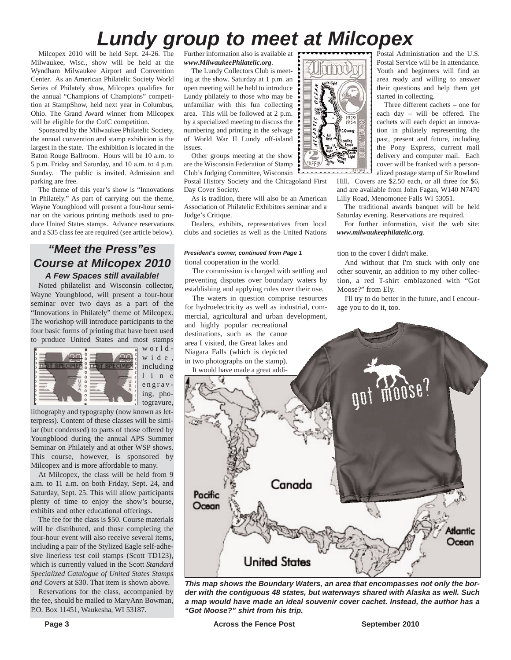# Postal Administration and the U.S. *Lundy group to meet at Milcopex*

Milcopex 2010 will be held Sept. 24-26. The Milwaukee, Wisc., show will be held at the Wyndham Milwaukee Airport and Convention Center. As an American Philatelic Society World Series of Philately show, Milcopex qualifies for the annual "Champions of Champions" competition at StampShow, held next year in Columbus, Ohio. The Grand Award winner from Milcopex will be eligible for the CofC competition.

Sponsored by the Milwaukee Philatelic Society, the annual convention and stamp exhibition is the largest in the state. The exhibition is located in the Baton Rouge Ballroom. Hours will be 10 a.m. to 5 p.m. Friday and Saturday, and 10 a.m. to 4 p.m. Sunday. The public is invited. Admission and parking are free.

The theme of this year's show is "Innovations in Philately." As part of carrying out the theme, Wayne Youngblood will present a four-hour seminar on the various printing methods used to produce United States stamps. Advance reservations and a \$35 class fee are required (see article below).

## *"Meet the Press"es Course at Milcopex 2010 A Few Spaces still available!*

Noted philatelist and Wisconsin collector, Wayne Youngblood, will present a four-hour seminar over two days as a part of the "Innovations in Philately" theme of Milcopex. The workshop will introduce participants to the four basic forms of printing that have been used to produce United States and most stamps



worldwide, including l i n e engraving, photogravure,

lithography and typography (now known as letterpress). Content of these classes will be similar (but condensed) to parts of those offered by Youngblood during the annual APS Summer Seminar on Philately and at other WSP shows. This course, however, is sponsored by Milcopex and is more affordable to many.

At Milcopex, the class will be held from 9 a.m. to 11 a.m. on both Friday, Sept. 24, and Saturday, Sept. 25. This will allow participants plenty of time to enjoy the show's bourse, exhibits and other educational offerings.

The fee for the class is \$50. Course materials will be distributed, and those completing the four-hour event will also receive several items, including a pair of the Stylized Eagle self-adhesive linerless test coil stamps (Scott TD123), which is currently valued in the Scott *Standard Specialized Catalogue of United States Stamps and Covers* at \$30. That item is shown above.

Reservations for the class, accompanied by the fee, should be mailed to MaryAnn Bowman, P.O. Box 11451, Waukesha, WI 53187.

Further information also is available at *www.MilwaukeePhilatelic.org*.

The Lundy Collectors Club is meeting at the show. Saturday at 1 p.m. an open meeting will be held to introduce Lundy philately to those who may be unfamiliar with this fun collecting area. This will be followed at 2 p.m. by a specialized meeting to discuss the numbering and printing in the selvage of World War II Lundy off-island issues.

Other groups meeting at the show are the Wisconsin Federation of Stamp Club's Judging Committee, Wisconsin

Postal History Society and the Chicagoland First Day Cover Society.

As is tradition, there will also be an American Association of Philatelic Exhibitors seminar and a Judge's Critique.

Dealers, exhibits, representatives from local clubs and societies as well as the United Nations

#### tional cooperation in the world. *President's corner, continued from Page 1*

The commission is charged with settling and preventing disputes over boundary waters by establishing and applying rules over their use.

The waters in question comprise resources for hydroelectricity as well as industrial, commercial, agricultural and urban development, and highly popular recreational destinations, such as the canoe



Postal Service will be in attendance. Youth and beginners will find an area ready and willing to answer their questions and help them get started in collecting.

Three different cachets – one for each day – will be offered. The cachets will each depict an innovation in philately representing the past, present and future, including the Pony Express, current mail delivery and computer mail. Each cover will be franked with a personalized postage stamp of Sir Rowland

Hill. Covers are \$2.50 each, or all three for \$6, and are available from John Fagan, W140 N7470 Lilly Road, Menomonee Falls WI 53051.

The traditional awards banquet will be held Saturday evening. Reservations are required.

For further information, visit the web site: *www.milwaukeephilatelic.org*.

tion to the cover I didn't make.

And without that I'm stuck with only one other souvenir, an addition to my other collection, a red T-shirt emblazoned with "Got Moose?" from Ely.

I'll try to do better in the future, and I encourage you to do it, too.



*This map shows the Boundary Waters, an area that encompasses not only the border with the contiguous 48 states, but waterways shared with Alaska as well. Such a map would have made an ideal souvenir cover cachet. Instead, the author has a "Got Moose?" shirt from his trip.*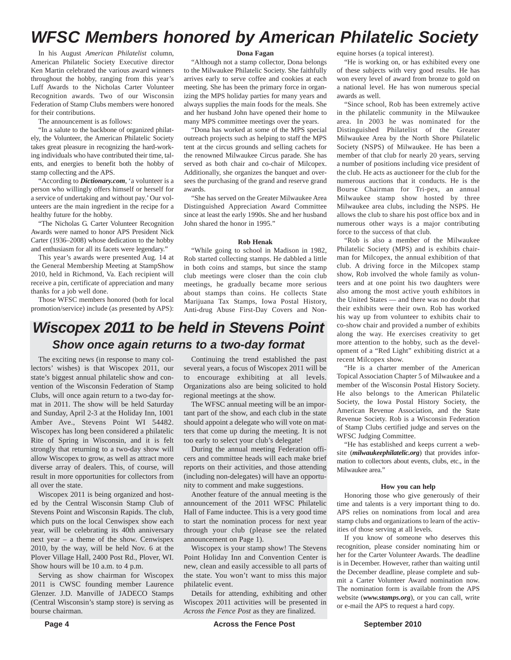# *WFSC Members honored by American Philatelic Society*

In his August *American Philatelist* column, American Philatelic Society Executive director Ken Martin celebrated the various award winners throughout the hobby, ranging from this year's Luff Awards to the Nicholas Carter Volunteer Recognition awards. Two of our Wisconsin Federation of Stamp Clubs members were honored for their contributions.

The announcement is as follows:

"In a salute to the backbone of organized philately, the Volunteer, the American Philatelic Society takes great pleasure in recognizing the hard-working individuals who have contributed their time, talents, and energies to benefit both the hobby of stamp collecting and the APS.

"According to *Dictionary.com*, 'a volunteer is a person who willingly offers himself or herself for a service of undertaking and without pay.' Our volunteers are the main ingredient in the recipe for a healthy future for the hobby.

"The Nicholas G. Carter Volunteer Recognition Awards were named to honor APS President Nick Carter (1936–2008) whose dedication to the hobby and enthusiasm for all its facets were legendary."

This year's awards were presented Aug. 14 at the General Membership Meeting at StampShow 2010, held in Richmond, Va. Each recipient will receive a pin, certificate of appreciation and many thanks for a job well done.

Those WFSC members honored (both for local promotion/service) include (as presented by APS):

#### **Dona Fagan**

"Although not a stamp collector, Dona belongs to the Milwaukee Philatelic Society. She faithfully arrives early to serve coffee and cookies at each meeting. She has been the primary force in organizing the MPS holiday parties for many years and always supplies the main foods for the meals. She and her husband John have opened their home to many MPS committee meetings over the years.

"Dona has worked at some of the MPS special outreach projects such as helping to staff the MPS tent at the circus grounds and selling cachets for the renowned Milwaukee Circus parade. She has served as both chair and co-chair of Milcopex. Additionally, she organizes the banquet and oversees the purchasing of the grand and reserve grand awards.

"She has served on the Greater Milwaukee Area Distinguished Appreciation Award Committee since at least the early 1990s. She and her husband John shared the honor in 1995."

#### **Rob Henak**

"While going to school in Madison in 1982, Rob started collecting stamps. He dabbled a little in both coins and stamps, but since the stamp club meetings were closer than the coin club meetings, he gradually became more serious about stamps than coins. He collects State Marijuana Tax Stamps, Iowa Postal History, Anti-drug Abuse First-Day Covers and Non-

# *Wiscopex 2011 to be held in Stevens Point Show once again returns to a two-day format*

The exciting news (in response to many collectors' wishes) is that Wiscopex 2011, our state's biggest annual philatelic show and convention of the Wisconsin Federation of Stamp Clubs, will once again return to a two-day format in 2011. The show will be held Saturday and Sunday, April 2-3 at the Holiday Inn, 1001 Amber Ave., Stevens Point WI 54482. Wiscopex has long been considered a philatelic Rite of Spring in Wisconsin, and it is felt strongly that returning to a two-day show will allow Wiscopex to grow, as well as attract more diverse array of dealers. This, of course, will result in more opportunities for collectors from all over the state.

Wiscopex 2011 is being organized and hosted by the Central Wisconsin Stamp Club of Stevens Point and Wisconsin Rapids. The club, which puts on the local Cenwispex show each year, will be celebrating its 40th anniversary next year – a theme of the show. Cenwispex 2010, by the way, will be held Nov. 6 at the Plover Village Hall, 2400 Post Rd., Plover, WI. Show hours will be 10 a.m. to 4 p.m.

Serving as show chairman for Wiscopex 2011 is CWSC founding member Laurence Glenzer. J.D. Manville of JADECO Stamps (Central Wisconsin's stamp store) is serving as bourse chairman.

Continuing the trend established the past several years, a focus of Wiscopex 2011 will be to encourage exhibiting at all levels. Organizations also are being solicited to hold regional meetings at the show.

The WFSC annual meeting will be an important part of the show, and each club in the state should appoint a delegate who will vote on matters that come up during the meeting. It is not too early to select your club's delegate!

During the annual meeting Federation officers and committee heads will each make brief reports on their activities, and those attending (including non-delegates) will have an opportunity to comment and make suggestions.

Another feature of the annual meeting is the announcement of the 2011 WFSC Philatelic Hall of Fame inductee. This is a very good time to start the nomination process for next year through your club (please see the related announcement on Page 1).

Wiscopex is your stamp show! The Stevens Point Holiday Inn and Convention Center is new, clean and easily accessible to all parts of the state. You won't want to miss this major philatelic event.

Details for attending, exhibiting and other Wiscopex 2011 activities will be presented in *Across the Fence Post* as they are finalized.

equine horses (a topical interest).

"He is working on, or has exhibited every one of these subjects with very good results. He has won every level of award from bronze to gold on a national level. He has won numerous special awards as well.

"Since school, Rob has been extremely active in the philatelic community in the Milwaukee area. In 2003 he was nominated for the Distinguished Philatelist of the Greater Milwaukee Area by the North Shore Philatelic Society (NSPS) of Milwaukee. He has been a member of that club for nearly 20 years, serving a number of positions including vice president of the club. He acts as auctioneer for the club for the numerous auctions that it conducts. He is the Bourse Chairman for Tri-pex, an annual Milwaukee stamp show hosted by three Milwaukee area clubs, including the NSPS. He allows the club to share his post office box and in numerous other ways is a major contributing force to the success of that club.

"Rob is also a member of the Milwaukee Philatelic Society (MPS) and is exhibits chairman for Milcopex, the annual exhibition of that club. A driving force in the Milcopex stamp show, Rob involved the whole family as volunteers and at one point his two daughters were also among the most active youth exhibitors in the United States — and there was no doubt that their exhibits were their own. Rob has worked his way up from volunteer to exhibits chair to co-show chair and provided a number of exhibits along the way. He exercises creativity to get more attention to the hobby, such as the development of a "Red Light" exhibiting district at a recent Milcopex show.

"He is a charter member of the American Topical Association Chapter 5 of Milwaukee and a member of the Wisconsin Postal History Society. He also belongs to the American Philatelic Society, the Iowa Postal History Society, the American Revenue Association, and the State Revenue Society. Rob is a Wisconsin Federation of Stamp Clubs certified judge and serves on the WFSC Judging Committee.

"He has established and keeps current a website (*milwaukeephilatelic.org*) that provides information to collectors about events, clubs, etc., in the Milwaukee area."

#### **How you can help**

Honoring those who give generously of their time and talents is a very important thing to do. APS relies on nominations from local and area stamp clubs and organizations to learn of the activities of those serving at all levels.

If you know of someone who deserves this recognition, please consider nominating him or her for the Carter Volunteer Awards. The deadline is in December. However, rather than waiting until the December deadline, please complete and submit a Carter Volunteer Award nomination now. The nomination form is available from the APS website (*www.stamps.org*), or you can call, write or e-mail the APS to request a hard copy.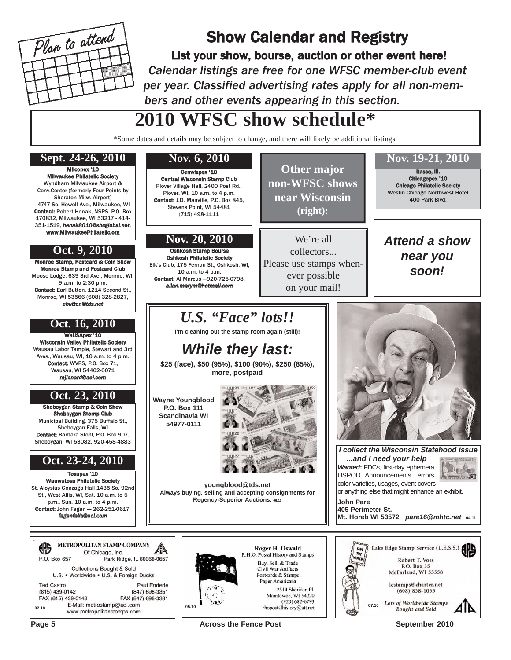

# Show Calendar and Registry

List your show, bourse, auction or other event here! *Calendar listings are free for one WFSC member-club event per year. Classified advertising rates apply for all non-members and other events appearing in this section.*

> **Other major non-WFSC shows near Wisconsin (right):**

We're all collectors... Please use stamps whenever possible on your mail!

# **2010 WFSC show schedule\***

\*Some dates and details may be subject to change, and there will likely be additional listings.

# **Sept. 24-26, 2010 Nov. 6, 2010 Nov. 19-21, 2010**

Milcopex '10 Milwaukee Philatelic Society Wyndham Milwaukee Airport & Conv.Center (formerly Four Points by Sheraton Milw. Airport) 4747 So. Howell Ave., Milwaukee, WI Contact: Robert Henak, NSPS, P.O. Box 170832, Milwaukee, WI 53217 - 414- 351-1519, *henak8010@sbcglobal.net*, www.MilwaukeePhilatelic.org

## **Oct. 9, 2010**

Monroe Stamp, Postcard & Coin Show Monroe Stamp and Postcard Club Moose Lodge, 639 3rd Ave., Monroe, WI, 9 a.m. to 2:30 p.m. Contact: Earl Button, 1214 Second St., Monroe, WI 53566 (608) 328-2827, *ebutton@tds.net*

# **Oct. 16, 2010**

WaUSApex '10 sin Valley Philatelic Society Wausau Labor Temple, Stewart and 3rd Aves., Wausau, WI, 10 a.m. to 4 p.m. Contact: WVPS, P.O. Box 71, Wausau, WI 54402-0071 *mjlenard@aol.com*

## **Oct. 23, 2010**

Sheboygan Stamp & Coin Show Sheboygan Stamp Club Municipal Building, 375 Buffalo St., Sheboygan Falls, WI Contact: Barbara Stohl, P.O. Box 907, Sheboygan, WI 53082, 920-458-4883

## **Oct. 23-24, 2010**

Tosapex '10 Wauwatosa Philatelic Society St. Aloysius Gonzaga Hall 1435 So. 92nd St., West Allis, WI, Sat. 10 a.m. to 5 p.m., Sun. 10 a.m. to 4 p.m. Contact: John Fagan - 262-251-0617, *faganfalls@aol.com*

|                    |  | <b>METROPOLITAN STAMP COMPANY</b><br>Of Chicago, Inc.                           |
|--------------------|--|---------------------------------------------------------------------------------|
| P.O. Box 657       |  | Park Ridge, IL 60068-0657                                                       |
|                    |  | <b>Collections Bought &amp; Sold</b><br>U.S. • Worldwide • U.S. & Foreign Ducks |
| <b>Ted Castro</b>  |  | <b>Paul Enderle</b>                                                             |
| (815) 439-0142     |  | (847) 698-3351                                                                  |
| FAX (815) 439-0143 |  | FAX (847) 698-3381                                                              |
| 02.10              |  | E-Mail: metrostamp@aol.com<br>www.metropolitanstamps.com                        |

Cenwispex '10 Central Wisconsin Stamp Club Plover Village Hall, 2400 Post Rd., Plover, WI, 10 a.m. to 4 p.m. Contact: J.D. Manville, P.O. Box 845, Stevens Point, WI 54481 (715) 498-1111

## **Nov. 20, 2010**

Oshkosh Stamp Bourse Oshkosh Philatelic Society Elk's Club, 175 Fernau St., Oshkosh, WI, 10 a.m. to 4 p.m. Contact: Al Marcus —920-725-0798, *allan.marym@hotmail.com*

# *U.S. "Face" lots!!*

**I'm cleaning out the stamp room again (still)!**

# *While they last:*

**\$25 (face), \$50 (95%), \$100 (90%), \$250 (85%), more, postpaid**

**Wayne Youngblood P.O. Box 111 Scandinavia WI 54977-0111**



Roger H. Oswald R.H.O. Postal History and Stamps

Buy, Sell, & Trade

Civil War Artifacts

Postcards & Stamps Paper Americana

2514 Sheridan Pl.

**youngblood@tds.net Always buying, selling and accepting consignments for Regency-Superior Auctions. 06.10**



Itasca, Ill. Chicagopex '10 Chicago Philatelic Society Westin Chicago Northwest Hotel 400 Park Blvd.

*Attend a show near you soon!*

*I collect the Wisconsin Statehood issue ...and I need your help Wanted:* FDCs, first-day ephemera, Victor USPOD Announcements, errors, color varieties, usages, event covers

or anything else that might enhance an exhibit. **John Pare 405 Perimeter St.**

**Mt. Horeb WI 53572** *pare16@mhtc.net* **04.11**



**Page 5 Across the Fence Post** September 2010